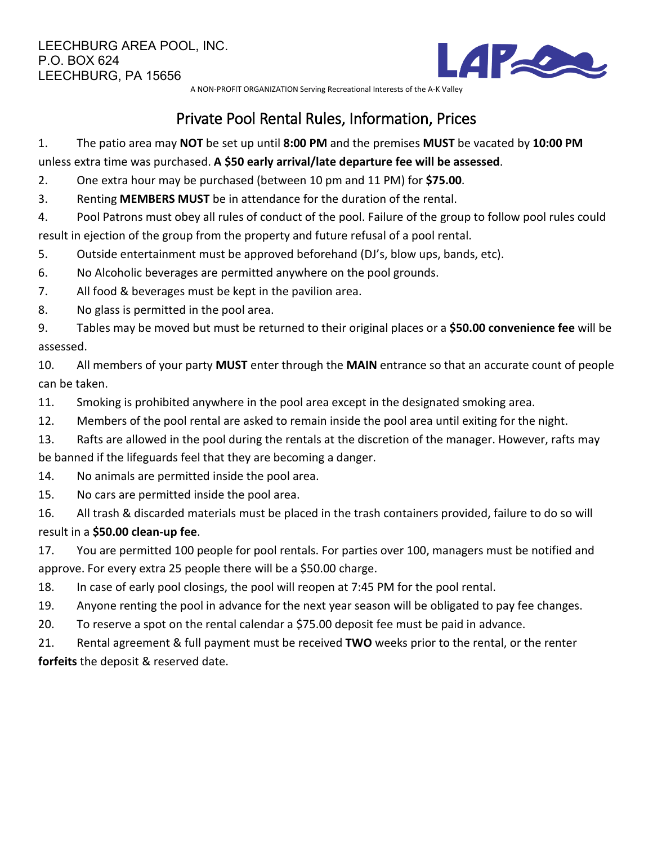

A NON-PROFIT ORGANIZATION Serving Recreational Interests of the A-K Valley

## Private Pool Rental Rules, Information, Prices

1. The patio area may **NOT** be set up until **8:00 PM** and the premises **MUST** be vacated by **10:00 PM** unless extra time was purchased. **A \$50 early arrival/late departure fee will be assessed**.

2. One extra hour may be purchased (between 10 pm and 11 PM) for **\$75.00**.

3. Renting **MEMBERS MUST** be in attendance for the duration of the rental.

4. Pool Patrons must obey all rules of conduct of the pool. Failure of the group to follow pool rules could result in ejection of the group from the property and future refusal of a pool rental.

- 5. Outside entertainment must be approved beforehand (DJ's, blow ups, bands, etc).
- 6. No Alcoholic beverages are permitted anywhere on the pool grounds.
- 7. All food & beverages must be kept in the pavilion area.
- 8. No glass is permitted in the pool area.
- 9. Tables may be moved but must be returned to their original places or a **\$50.00 convenience fee** will be assessed.

10. All members of your party **MUST** enter through the **MAIN** entrance so that an accurate count of people can be taken.

- 11. Smoking is prohibited anywhere in the pool area except in the designated smoking area.
- 12. Members of the pool rental are asked to remain inside the pool area until exiting for the night.
- 13. Rafts are allowed in the pool during the rentals at the discretion of the manager. However, rafts may be banned if the lifeguards feel that they are becoming a danger.
- 14. No animals are permitted inside the pool area.
- 15. No cars are permitted inside the pool area.
- 16. All trash & discarded materials must be placed in the trash containers provided, failure to do so will result in a **\$50.00 clean-up fee**.

17. You are permitted 100 people for pool rentals. For parties over 100, managers must be notified and approve. For every extra 25 people there will be a \$50.00 charge.

- 18. In case of early pool closings, the pool will reopen at 7:45 PM for the pool rental.
- 19. Anyone renting the pool in advance for the next year season will be obligated to pay fee changes.
- 20. To reserve a spot on the rental calendar a \$75.00 deposit fee must be paid in advance.

21. Rental agreement & full payment must be received **TWO** weeks prior to the rental, or the renter **forfeits** the deposit & reserved date.